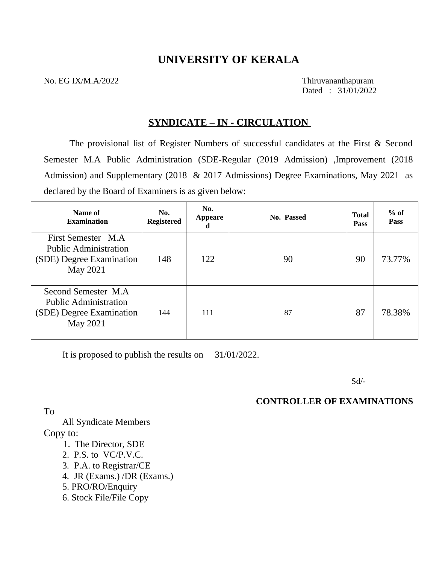# **UNIVERSITY OF KERALA**

No. EG IX/M.A/2022 Thiruvananthapuram

Dated : 31/01/2022

# **SYNDICATE – IN - CIRCULATION**

The provisional list of Register Numbers of successful candidates at the First & Second Semester M.A Public Administration (SDE-Regular (2019 Admission) ,Improvement (2018 Admission) and Supplementary (2018 & 2017 Admissions) Degree Examinations, May 2021 as declared by the Board of Examiners is as given below:

| Name of<br><b>Examination</b>                                                                       | No.<br>Registered | No.<br>Appeare<br>d | No. Passed | <b>Total</b><br><b>Pass</b> | $%$ of<br><b>Pass</b> |
|-----------------------------------------------------------------------------------------------------|-------------------|---------------------|------------|-----------------------------|-----------------------|
| First Semester M.A.<br><b>Public Administration</b><br>(SDE) Degree Examination<br><b>May 2021</b>  | 148               | 122                 | 90         | 90                          | 73.77%                |
| Second Semester M.A.<br><b>Public Administration</b><br>(SDE) Degree Examination<br><b>May 2021</b> | 144               | 111                 | 87         | 87                          | 78.38%                |

It is proposed to publish the results on 31/01/2022.

Sd/-

## **CONTROLLER OF EXAMINATIONS**

To

 All Syndicate Members Copy to:

- 1. The Director, SDE
- 2. P.S. to VC/P.V.C.
- 3. P.A. to Registrar/CE
- 4. JR (Exams.) /DR (Exams.)
- 5. PRO/RO/Enquiry
- 6. Stock File/File Copy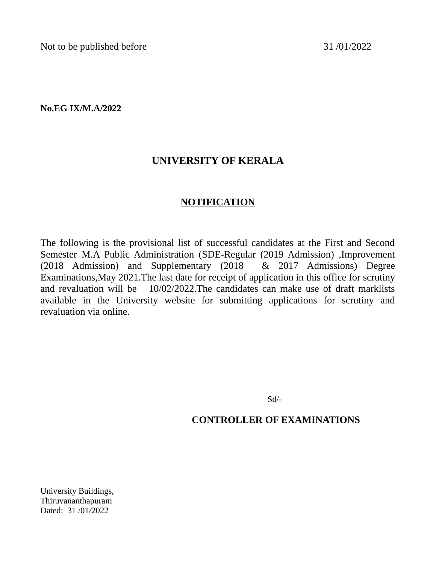Not to be published before 31/01/2022

**No.EG IX/M.A/2022**

# **UNIVERSITY OF KERALA**

# **NOTIFICATION**

The following is the provisional list of successful candidates at the First and Second Semester M.A Public Administration (SDE-Regular (2019 Admission) ,Improvement (2018 Admission) and Supplementary (2018 & 2017 Admissions) Degree Examinations,May 2021.The last date for receipt of application in this office for scrutiny and revaluation will be 10/02/2022.The candidates can make use of draft marklists available in the University website for submitting applications for scrutiny and revaluation via online.

Sd/-

# **CONTROLLER OF EXAMINATIONS**

University Buildings, Thiruvananthapuram Dated: 31 /01*/*2022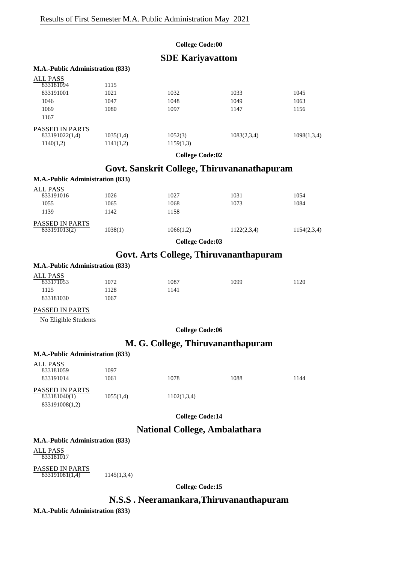#### **College Code:00**

## **SDE Kariyavattom**

#### **M.A.-Public Administration (833)**

| <b>ALL PASS</b>        |           |           |             |             |
|------------------------|-----------|-----------|-------------|-------------|
| 833181094              | 1115      |           |             |             |
| 833191001              | 1021      | 1032      | 1033        | 1045        |
| 1046                   | 1047      | 1048      | 1049        | 1063        |
| 1069                   | 1080      | 1097      | 1147        | 1156        |
| 1167                   |           |           |             |             |
| <b>PASSED IN PARTS</b> |           |           |             |             |
| 833191022(1,4)         | 1035(1,4) | 1052(3)   | 1083(2,3,4) | 1098(1,3,4) |
| 1140(1,2)              | 1141(1,2) | 1159(1,3) |             |             |
|                        |           |           |             |             |

**College Code:02**

# **Govt. Sanskrit College, Thiruvananathapuram**

### **M.A.-Public Administration (833)** ALL PASS<br>833191016 PASSED IN PARTS 833191016 1026 1027 1031 1054 1055 1065 1065 1068 1073 1084 1139 1142 1158  $\overline{833191013(2)}$  1038(1) 1066(1,2) 1122(2,3,4) 1154(2,3,4)

**College Code:03**

# **Govt. Arts College, Thiruvananthapuram**

### **M.A.-Public Administration (833)**

| <b>ALL PASS</b> |      |       |      |      |
|-----------------|------|-------|------|------|
| 833171053       | 1072 | 1087  | 1099 | 1120 |
| 1125            | 1128 | l 141 |      |      |
| 833181030       | 1067 |       |      |      |
|                 |      |       |      |      |

#### PASSED IN PARTS

No Eligible Students

**College Code:06**

## **M. G. College, Thiruvananthapuram**

| <b>M.A.-Public Administration (833)</b>           |           |             |      |      |
|---------------------------------------------------|-----------|-------------|------|------|
| ALL PASS<br>833181059                             | 1097      |             |      |      |
| 833191014                                         | 1061      | 1078        | 1088 | 1144 |
| PASSED IN PARTS<br>833181040(1)<br>833191008(1,2) | 1055(1,4) | 1102(1,3,4) |      |      |

**College Code:14**

## **National College, Ambalathara**

### **M.A.-Public Administration (833)**

ALL PASS 833181017

PASSED IN PARTS  $833191081(1,4)$  1145(1,3,4)

**College Code:15**

# **N.S.S . Neeramankara,Thiruvananthapuram**

**M.A.-Public Administration (833)**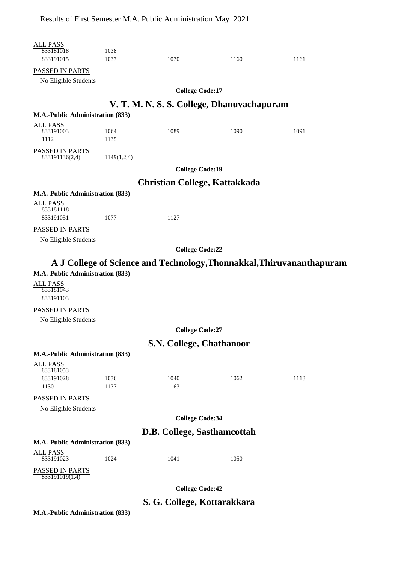| <b>ALL PASS</b><br>833181018<br>833191015           | 1038<br>1037 | 1070                                 | 1160                                       | 1161                                                                  |
|-----------------------------------------------------|--------------|--------------------------------------|--------------------------------------------|-----------------------------------------------------------------------|
| PASSED IN PARTS                                     |              |                                      |                                            |                                                                       |
| No Eligible Students                                |              |                                      |                                            |                                                                       |
|                                                     |              | <b>College Code:17</b>               |                                            |                                                                       |
|                                                     |              |                                      | V. T. M. N. S. S. College, Dhanuvachapuram |                                                                       |
| M.A.-Public Administration (833)                    |              |                                      |                                            |                                                                       |
| <b>ALL PASS</b><br>833191003<br>1112                | 1064<br>1135 | 1089                                 | 1090                                       | 1091                                                                  |
| PASSED IN PARTS<br>833191136(2,4)                   | 1149(1,2,4)  |                                      |                                            |                                                                       |
|                                                     |              | <b>College Code:19</b>               |                                            |                                                                       |
|                                                     |              | <b>Christian College, Kattakkada</b> |                                            |                                                                       |
| M.A.-Public Administration (833)                    |              |                                      |                                            |                                                                       |
| <b>ALL PASS</b><br>833181118<br>833191051           |              |                                      |                                            |                                                                       |
|                                                     | 1077         | 1127                                 |                                            |                                                                       |
| PASSED IN PARTS<br>No Eligible Students             |              |                                      |                                            |                                                                       |
|                                                     |              | <b>College Code:22</b>               |                                            |                                                                       |
|                                                     |              |                                      |                                            |                                                                       |
|                                                     |              |                                      |                                            | A J College of Science and Technology, Thonnakkal, Thiruvananthapuram |
| M.A.-Public Administration (833)<br><b>ALL PASS</b> |              |                                      |                                            |                                                                       |
| 833181043<br>833191103                              |              |                                      |                                            |                                                                       |
| PASSED IN PARTS                                     |              |                                      |                                            |                                                                       |
| No Eligible Students                                |              |                                      |                                            |                                                                       |
|                                                     |              | <b>College Code:27</b>               |                                            |                                                                       |
|                                                     |              | <b>S.N. College, Chathanoor</b>      |                                            |                                                                       |
| M.A.-Public Administration (833)                    |              |                                      |                                            |                                                                       |
| <b>ALL PASS</b><br>833181053                        |              |                                      |                                            |                                                                       |
| 833191028<br>1130                                   | 1036<br>1137 | 1040<br>1163                         | 1062                                       | 1118                                                                  |
| PASSED IN PARTS                                     |              |                                      |                                            |                                                                       |
| No Eligible Students                                |              |                                      |                                            |                                                                       |
|                                                     |              | <b>College Code:34</b>               |                                            |                                                                       |
|                                                     |              | D.B. College, Sasthamcottah          |                                            |                                                                       |
| M.A.-Public Administration (833)                    |              |                                      |                                            |                                                                       |
| <b>ALL PASS</b><br>833191023                        | 1024         | 1041                                 | 1050                                       |                                                                       |
| PASSED IN PARTS<br>833191019(1,4)                   |              |                                      |                                            |                                                                       |
|                                                     |              | <b>College Code:42</b>               |                                            |                                                                       |
|                                                     |              | S. G. College, Kottarakkara          |                                            |                                                                       |
| M.A.-Public Administration (833)                    |              |                                      |                                            |                                                                       |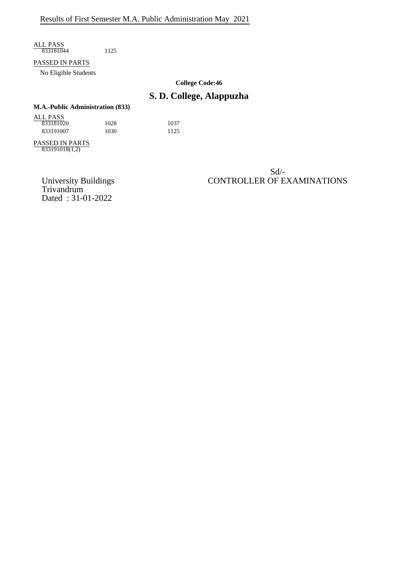ALL PASS 833181044 1125

#### PASSED IN PARTS

No Eligible Students

**College Code:46**

# **S. D. College, Alappuzha**

# **M.A.-Public Administration (833)** ALL PASS

833181020 1028 1037 833191007 1030 1125

PASSED IN PARTS 833191018(1,2)

> Trivandrum Dated : 31-01-2022

### Sd/- University Buildings CONTROLLER OF EXAMINATIONS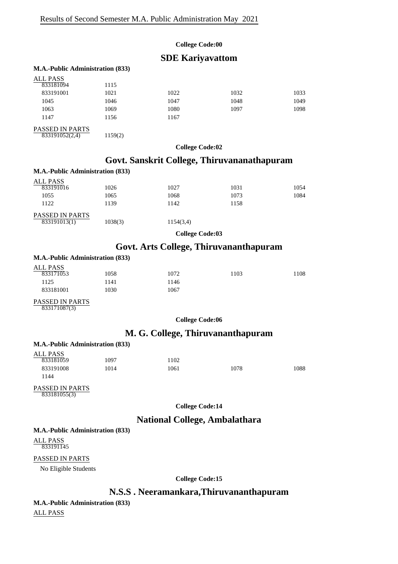#### **College Code:00**

### **SDE Kariyavattom**

#### **M.A.-Public Administration (833)**

833191052(2,4) 1159(2)

| ALL PASS        |      |      |      |      |
|-----------------|------|------|------|------|
| 833181094       | 1115 |      |      |      |
| 833191001       | 1021 | 1022 | 1032 | 1033 |
| 1045            | 1046 | 1047 | 1048 | 1049 |
| 1063            | 1069 | 1080 | 1097 | 1098 |
| 1147            | 1156 | 1167 |      |      |
| PASSED IN PARTS |      |      |      |      |

**College Code:02**

# **Govt. Sanskrit College, Thiruvananathapuram**

#### **M.A.-Public Administration (833)** ALL PASS<br>833191016 PASSED IN PARTS 833191016 1026 1027 1031 1054 1055 1065 1065 1068 1073 1084 1122 1139 1142 1158 833191013(1) 1038(3) 1154(3,4)

**College Code:03**

## **Govt. Arts College, Thiruvananthapuram**

#### **M.A.-Public Administration (833)**

| ALL PASS  |      |      |      |     |
|-----------|------|------|------|-----|
| 833171053 | 1058 | 1072 | 1103 | 108 |
| 1125      | 1141 | 146  |      |     |
| 833181001 | 1030 | 1067 |      |     |
|           |      |      |      |     |

### PASSED IN PARTS

833171087(3)

**College Code:06**

## **M. G. College, Thiruvananthapuram**

#### **M.A.-Public Administration (833)** ALL PASS 833181059 1097 1102 833191008 1014 1061 1078 1088

#### PASSED IN PARTS 833181055(3)

**College Code:14**

### **National College, Ambalathara**

### **M.A.-Public Administration (833)**

ALL PASS 833191145

1144

### PASSED IN PARTS

No Eligible Students

**College Code:15**

## **N.S.S . Neeramankara,Thiruvananthapuram**

#### **M.A.-Public Administration (833)**

ALL PASS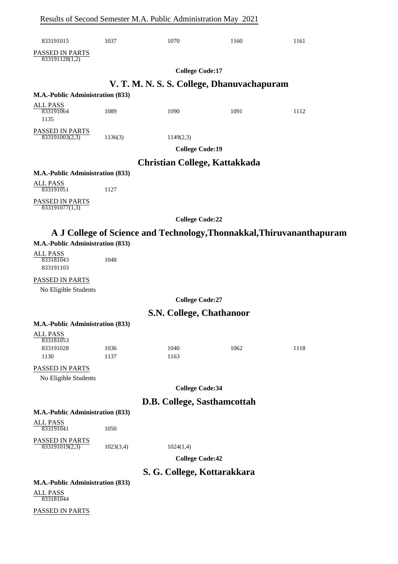|                                           |           | Results of Second Semester M.A. Public Administration May 2021 |                                            |                                                                       |
|-------------------------------------------|-----------|----------------------------------------------------------------|--------------------------------------------|-----------------------------------------------------------------------|
| 833191015                                 | 1037      | 1070                                                           | 1160                                       | 1161                                                                  |
| PASSED IN PARTS<br>833191128(1,2)         |           |                                                                |                                            |                                                                       |
|                                           |           | <b>College Code:17</b>                                         |                                            |                                                                       |
|                                           |           |                                                                | V. T. M. N. S. S. College, Dhanuvachapuram |                                                                       |
| M.A.-Public Administration (833)          |           |                                                                |                                            |                                                                       |
| <b>ALL PASS</b>                           |           |                                                                |                                            |                                                                       |
| 833191064<br>1135                         | 1089      | 1090                                                           | 1091                                       | 1112                                                                  |
| PASSED IN PARTS<br>833191003(2,3)         | 1136(3)   | 1149(2,3)                                                      |                                            |                                                                       |
|                                           |           | <b>College Code:19</b>                                         |                                            |                                                                       |
|                                           |           |                                                                |                                            |                                                                       |
| M.A.-Public Administration (833)          |           | Christian College, Kattakkada                                  |                                            |                                                                       |
| <b>ALL PASS</b>                           |           |                                                                |                                            |                                                                       |
| 833191051                                 | 1127      |                                                                |                                            |                                                                       |
| PASSED IN PARTS<br>833191077(1,3)         |           |                                                                |                                            |                                                                       |
|                                           |           | <b>College Code:22</b>                                         |                                            |                                                                       |
|                                           |           |                                                                |                                            | A J College of Science and Technology, Thonnakkal, Thiruvananthapuram |
| M.A.-Public Administration (833)          |           |                                                                |                                            |                                                                       |
| <b>ALL PASS</b><br>833181043<br>833191103 | 1048      |                                                                |                                            |                                                                       |
| PASSED IN PARTS                           |           |                                                                |                                            |                                                                       |
| No Eligible Students                      |           |                                                                |                                            |                                                                       |
|                                           |           | <b>College Code:27</b>                                         |                                            |                                                                       |
|                                           |           | S.N. College, Chathanoor                                       |                                            |                                                                       |
| M.A.-Public Administration (833)          |           |                                                                |                                            |                                                                       |
| <b>ALL PASS</b>                           |           |                                                                |                                            |                                                                       |
| 833181053<br>833191028                    | 1036      | 1040                                                           | 1062                                       | 1118                                                                  |
| 1130                                      | 1137      | 1163                                                           |                                            |                                                                       |
| PASSED IN PARTS                           |           |                                                                |                                            |                                                                       |
| No Eligible Students                      |           |                                                                |                                            |                                                                       |
|                                           |           | <b>College Code:34</b>                                         |                                            |                                                                       |
|                                           |           | D.B. College, Sasthamcottah                                    |                                            |                                                                       |
| M.A.-Public Administration (833)          |           |                                                                |                                            |                                                                       |
| <b>ALL PASS</b><br>833191041              | 1050      |                                                                |                                            |                                                                       |
| PASSED IN PARTS<br>833191019(2,3)         | 1023(3,4) | 1024(1,4)                                                      |                                            |                                                                       |
|                                           |           | <b>College Code:42</b>                                         |                                            |                                                                       |
|                                           |           |                                                                |                                            |                                                                       |
| M.A.-Public Administration (833)          |           | S. G. College, Kottarakkara                                    |                                            |                                                                       |
| <b>ALL PASS</b>                           |           |                                                                |                                            |                                                                       |
| 833181044                                 |           |                                                                |                                            |                                                                       |

PASSED IN PARTS